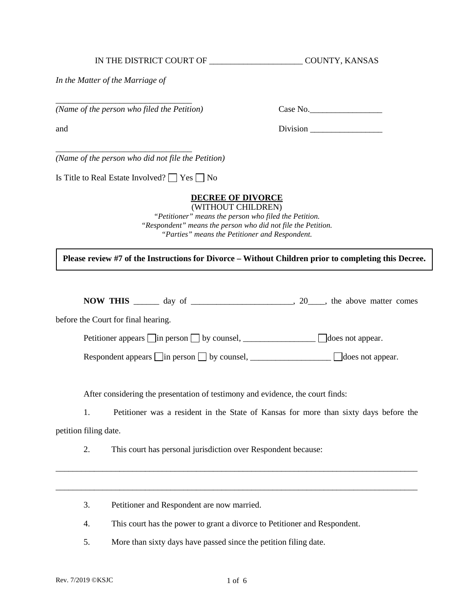Is Title to Real Estate Involved?  $\Box$  Yes  $\Box$  No

*In the Matter of the Marriage of* 

\_\_\_\_\_\_\_\_\_\_\_\_\_\_\_\_\_\_\_\_\_\_\_\_\_\_\_\_\_\_\_\_

\_\_\_\_\_\_\_\_\_\_\_\_\_\_\_\_\_\_\_\_\_\_\_\_\_\_\_\_\_\_\_\_

*(Name of the person who did not file the Petition)* 

## **DECREE OF DIVORCE**

*(Name of the person who filed the Petition)* Case No.\_\_\_\_\_\_\_\_\_\_\_\_\_\_\_\_\_

and Division **Division** 

(WITHOUT CHILDREN) *"Petitioner" means the person who filed the Petition. "Respondent" means the person who did not file the Petition. "Parties" means the Petitioner and Respondent.* 

**Please review #7 of the Instructions for Divorce – Without Children prior to completing this Decree.**

**NOW THIS**  $\qquad \qquad \text{day of} \qquad \qquad \text{100}$ , the above matter comes

before the Court for final hearing.

Petitioner appears  $\Box$  in person  $\Box$  by counsel,  $\Box$  does not appear.

Respondent appears in person by counsel, \_\_\_\_\_\_\_\_\_\_\_\_\_\_\_\_\_\_\_ does not appear.

After considering the presentation of testimony and evidence, the court finds:

1. Petitioner was a resident in the State of Kansas for more than sixty days before the petition filing date.

\_\_\_\_\_\_\_\_\_\_\_\_\_\_\_\_\_\_\_\_\_\_\_\_\_\_\_\_\_\_\_\_\_\_\_\_\_\_\_\_\_\_\_\_\_\_\_\_\_\_\_\_\_\_\_\_\_\_\_\_\_\_\_\_\_\_\_\_\_\_\_\_\_\_\_\_\_\_\_\_\_\_\_\_\_

\_\_\_\_\_\_\_\_\_\_\_\_\_\_\_\_\_\_\_\_\_\_\_\_\_\_\_\_\_\_\_\_\_\_\_\_\_\_\_\_\_\_\_\_\_\_\_\_\_\_\_\_\_\_\_\_\_\_\_\_\_\_\_\_\_\_\_\_\_\_\_\_\_\_\_\_\_\_\_\_\_\_\_\_\_

2. This court has personal jurisdiction over Respondent because:

3. Petitioner and Respondent are now married.

4. This court has the power to grant a divorce to Petitioner and Respondent.

5. More than sixty days have passed since the petition filing date.

IN THE DISTRICT COURT OF THE COUNTY, KANSAS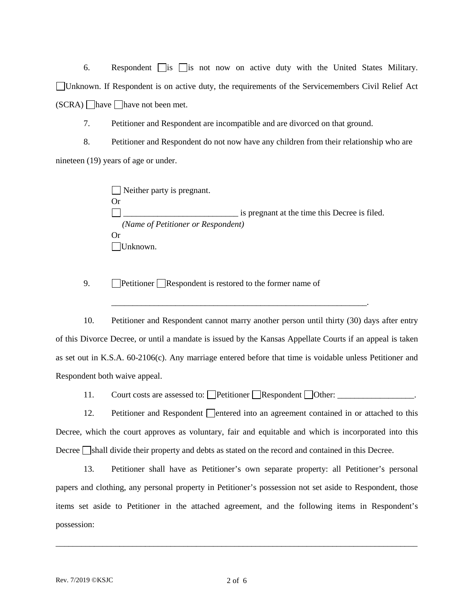6. Respondent  $\Box$  is  $\Box$  is not now on active duty with the United States Military. Unknown. If Respondent is on active duty, the requirements of the Servicemembers Civil Relief Act  $(SCRA)$  have have not been met.

7. Petitioner and Respondent are incompatible and are divorced on that ground.

8. Petitioner and Respondent do not now have any children from their relationship who are nineteen (19) years of age or under.

> Neither party is pregnant. Or \_\_\_\_\_\_\_\_\_\_\_\_\_\_\_\_\_\_\_\_\_\_\_\_\_\_\_ is pregnant at the time this Decree is filed. *(Name of Petitioner or Respondent)*  Or Unknown.

9.  $\Box$  Petitioner  $\Box$  Respondent is restored to the former name of

10. Petitioner and Respondent cannot marry another person until thirty (30) days after entry of this Divorce Decree, or until a mandate is issued by the Kansas Appellate Courts if an appeal is taken as set out in K.S.A. 60-2106(c). Any marriage entered before that time is voidable unless Petitioner and Respondent both waive appeal.

\_\_\_\_\_\_\_\_\_\_\_\_\_\_\_\_\_\_\_\_\_\_\_\_\_\_\_\_\_\_\_\_\_\_\_\_\_\_\_\_\_\_\_\_\_\_\_\_\_\_\_\_\_\_\_\_\_\_\_\_.

11. Court costs are assessed to: Petitioner Respondent Other: \_\_\_\_\_\_\_\_\_\_\_\_\_\_\_\_\_.

12. Petitioner and Respondent  $\Box$  entered into an agreement contained in or attached to this Decree, which the court approves as voluntary, fair and equitable and which is incorporated into this Decree  $\Box$ shall divide their property and debts as stated on the record and contained in this Decree.

13. Petitioner shall have as Petitioner's own separate property: all Petitioner's personal papers and clothing, any personal property in Petitioner's possession not set aside to Respondent, those items set aside to Petitioner in the attached agreement, and the following items in Respondent's possession:

\_\_\_\_\_\_\_\_\_\_\_\_\_\_\_\_\_\_\_\_\_\_\_\_\_\_\_\_\_\_\_\_\_\_\_\_\_\_\_\_\_\_\_\_\_\_\_\_\_\_\_\_\_\_\_\_\_\_\_\_\_\_\_\_\_\_\_\_\_\_\_\_\_\_\_\_\_\_\_\_\_\_\_\_\_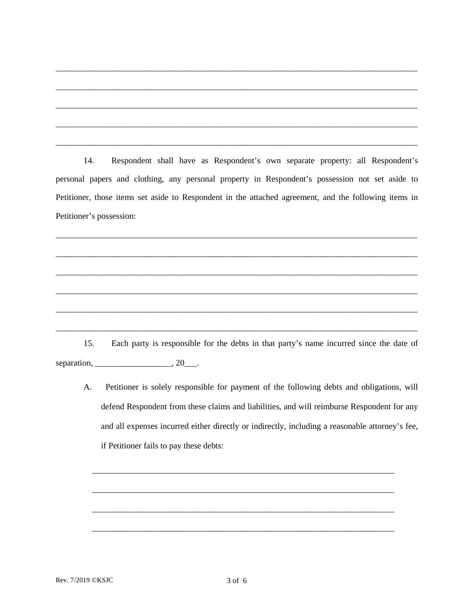14. Respondent shall have as Respondent's own separate property: all Respondent's personal papers and clothing, any personal property in Respondent's possession not set aside to Petitioner, those items set aside to Respondent in the attached agreement, and the following items in Petitioner's possession:

\_\_\_\_\_\_\_\_\_\_\_\_\_\_\_\_\_\_\_\_\_\_\_\_\_\_\_\_\_\_\_\_\_\_\_\_\_\_\_\_\_\_\_\_\_\_\_\_\_\_\_\_\_\_\_\_\_\_\_\_\_\_\_\_\_\_\_\_\_\_\_\_\_\_\_\_\_\_\_\_\_\_\_\_\_

\_\_\_\_\_\_\_\_\_\_\_\_\_\_\_\_\_\_\_\_\_\_\_\_\_\_\_\_\_\_\_\_\_\_\_\_\_\_\_\_\_\_\_\_\_\_\_\_\_\_\_\_\_\_\_\_\_\_\_\_\_\_\_\_\_\_\_\_\_\_\_\_\_\_\_\_\_\_\_\_\_\_\_\_\_

\_\_\_\_\_\_\_\_\_\_\_\_\_\_\_\_\_\_\_\_\_\_\_\_\_\_\_\_\_\_\_\_\_\_\_\_\_\_\_\_\_\_\_\_\_\_\_\_\_\_\_\_\_\_\_\_\_\_\_\_\_\_\_\_\_\_\_\_\_\_\_\_\_\_\_\_\_\_\_\_\_\_\_\_\_

\_\_\_\_\_\_\_\_\_\_\_\_\_\_\_\_\_\_\_\_\_\_\_\_\_\_\_\_\_\_\_\_\_\_\_\_\_\_\_\_\_\_\_\_\_\_\_\_\_\_\_\_\_\_\_\_\_\_\_\_\_\_\_\_\_\_\_\_\_\_\_\_\_\_\_\_\_\_\_\_\_\_\_\_\_

\_\_\_\_\_\_\_\_\_\_\_\_\_\_\_\_\_\_\_\_\_\_\_\_\_\_\_\_\_\_\_\_\_\_\_\_\_\_\_\_\_\_\_\_\_\_\_\_\_\_\_\_\_\_\_\_\_\_\_\_\_\_\_\_\_\_\_\_\_\_\_\_\_\_\_\_\_\_\_\_\_\_\_\_\_

\_\_\_\_\_\_\_\_\_\_\_\_\_\_\_\_\_\_\_\_\_\_\_\_\_\_\_\_\_\_\_\_\_\_\_\_\_\_\_\_\_\_\_\_\_\_\_\_\_\_\_\_\_\_\_\_\_\_\_\_\_\_\_\_\_\_\_\_\_\_\_\_\_\_\_\_\_\_\_\_\_\_\_\_\_

\_\_\_\_\_\_\_\_\_\_\_\_\_\_\_\_\_\_\_\_\_\_\_\_\_\_\_\_\_\_\_\_\_\_\_\_\_\_\_\_\_\_\_\_\_\_\_\_\_\_\_\_\_\_\_\_\_\_\_\_\_\_\_\_\_\_\_\_\_\_\_\_\_\_\_\_\_\_\_\_\_\_\_\_\_

\_\_\_\_\_\_\_\_\_\_\_\_\_\_\_\_\_\_\_\_\_\_\_\_\_\_\_\_\_\_\_\_\_\_\_\_\_\_\_\_\_\_\_\_\_\_\_\_\_\_\_\_\_\_\_\_\_\_\_\_\_\_\_\_\_\_\_\_\_\_\_\_\_\_\_\_\_\_\_\_\_\_\_\_\_

\_\_\_\_\_\_\_\_\_\_\_\_\_\_\_\_\_\_\_\_\_\_\_\_\_\_\_\_\_\_\_\_\_\_\_\_\_\_\_\_\_\_\_\_\_\_\_\_\_\_\_\_\_\_\_\_\_\_\_\_\_\_\_\_\_\_\_\_\_\_\_\_\_\_\_\_\_\_\_\_\_\_\_\_\_

\_\_\_\_\_\_\_\_\_\_\_\_\_\_\_\_\_\_\_\_\_\_\_\_\_\_\_\_\_\_\_\_\_\_\_\_\_\_\_\_\_\_\_\_\_\_\_\_\_\_\_\_\_\_\_\_\_\_\_\_\_\_\_\_\_\_\_\_\_\_\_\_\_\_\_\_\_\_\_\_\_\_\_\_\_

\_\_\_\_\_\_\_\_\_\_\_\_\_\_\_\_\_\_\_\_\_\_\_\_\_\_\_\_\_\_\_\_\_\_\_\_\_\_\_\_\_\_\_\_\_\_\_\_\_\_\_\_\_\_\_\_\_\_\_\_\_\_\_\_\_\_\_\_\_\_\_\_\_\_\_\_\_\_\_\_\_\_\_\_\_

15. Each party is responsible for the debts in that party's name incurred since the date of separation, \_\_\_\_\_\_\_\_\_\_\_\_\_\_\_\_\_\_\_\_\_, 20\_\_\_.

A. Petitioner is solely responsible for payment of the following debts and obligations, will defend Respondent from these claims and liabilities, and will reimburse Respondent for any and all expenses incurred either directly or indirectly, including a reasonable attorney's fee, if Petitioner fails to pay these debts:

\_\_\_\_\_\_\_\_\_\_\_\_\_\_\_\_\_\_\_\_\_\_\_\_\_\_\_\_\_\_\_\_\_\_\_\_\_\_\_\_\_\_\_\_\_\_\_\_\_\_\_\_\_\_\_\_\_\_\_\_\_\_\_\_\_\_\_\_\_\_\_

\_\_\_\_\_\_\_\_\_\_\_\_\_\_\_\_\_\_\_\_\_\_\_\_\_\_\_\_\_\_\_\_\_\_\_\_\_\_\_\_\_\_\_\_\_\_\_\_\_\_\_\_\_\_\_\_\_\_\_\_\_\_\_\_\_\_\_\_\_\_\_

\_\_\_\_\_\_\_\_\_\_\_\_\_\_\_\_\_\_\_\_\_\_\_\_\_\_\_\_\_\_\_\_\_\_\_\_\_\_\_\_\_\_\_\_\_\_\_\_\_\_\_\_\_\_\_\_\_\_\_\_\_\_\_\_\_\_\_\_\_\_\_

\_\_\_\_\_\_\_\_\_\_\_\_\_\_\_\_\_\_\_\_\_\_\_\_\_\_\_\_\_\_\_\_\_\_\_\_\_\_\_\_\_\_\_\_\_\_\_\_\_\_\_\_\_\_\_\_\_\_\_\_\_\_\_\_\_\_\_\_\_\_\_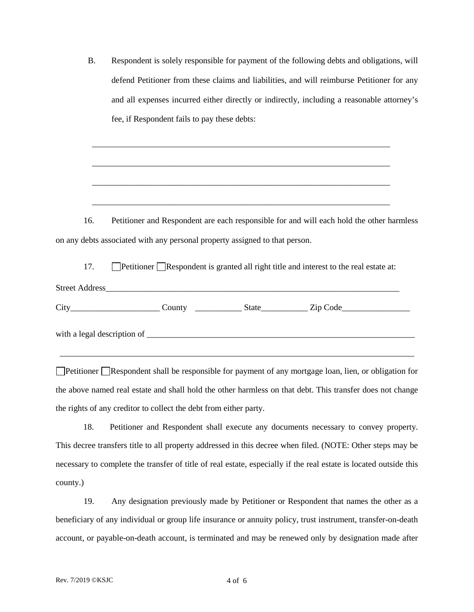| <b>B.</b> | Respondent is solely responsible for payment of the following debts and obligations, will  |  |  |
|-----------|--------------------------------------------------------------------------------------------|--|--|
|           | defend Petitioner from these claims and liabilities, and will reimburse Petitioner for any |  |  |
|           | and all expenses incurred either directly or indirectly, including a reasonable attorney's |  |  |
|           | fee, if Respondent fails to pay these debts:                                               |  |  |

16. Petitioner and Respondent are each responsible for and will each hold the other harmless on any debts associated with any personal property assigned to that person.

\_\_\_\_\_\_\_\_\_\_\_\_\_\_\_\_\_\_\_\_\_\_\_\_\_\_\_\_\_\_\_\_\_\_\_\_\_\_\_\_\_\_\_\_\_\_\_\_\_\_\_\_\_\_\_\_\_\_\_\_\_\_\_\_\_\_\_\_\_\_

\_\_\_\_\_\_\_\_\_\_\_\_\_\_\_\_\_\_\_\_\_\_\_\_\_\_\_\_\_\_\_\_\_\_\_\_\_\_\_\_\_\_\_\_\_\_\_\_\_\_\_\_\_\_\_\_\_\_\_\_\_\_\_\_\_\_\_\_\_\_

\_\_\_\_\_\_\_\_\_\_\_\_\_\_\_\_\_\_\_\_\_\_\_\_\_\_\_\_\_\_\_\_\_\_\_\_\_\_\_\_\_\_\_\_\_\_\_\_\_\_\_\_\_\_\_\_\_\_\_\_\_\_\_\_\_\_\_\_\_\_

\_\_\_\_\_\_\_\_\_\_\_\_\_\_\_\_\_\_\_\_\_\_\_\_\_\_\_\_\_\_\_\_\_\_\_\_\_\_\_\_\_\_\_\_\_\_\_\_\_\_\_\_\_\_\_\_\_\_\_\_\_\_\_\_\_\_\_\_\_\_

17. **Petitioner Respondent is granted all right title and interest to the real estate at:** 

| <b>Street Address</b>         |        |       |          |  |  |  |
|-------------------------------|--------|-------|----------|--|--|--|
| City                          | County | State | Zip Code |  |  |  |
| with a legal description of _ |        |       |          |  |  |  |

Petitioner Respondent shall be responsible for payment of any mortgage loan, lien, or obligation for the above named real estate and shall hold the other harmless on that debt. This transfer does not change the rights of any creditor to collect the debt from either party.

\_\_\_\_\_\_\_\_\_\_\_\_\_\_\_\_\_\_\_\_\_\_\_\_\_\_\_\_\_\_\_\_\_\_\_\_\_\_\_\_\_\_\_\_\_\_\_\_\_\_\_\_\_\_\_\_\_\_\_\_\_\_\_\_\_\_\_\_\_\_\_\_\_\_\_\_\_\_\_\_\_\_\_

 18. Petitioner and Respondent shall execute any documents necessary to convey property. This decree transfers title to all property addressed in this decree when filed. (NOTE: Other steps may be necessary to complete the transfer of title of real estate, especially if the real estate is located outside this county.)

19. Any designation previously made by Petitioner or Respondent that names the other as a beneficiary of any individual or group life insurance or annuity policy, trust instrument, transfer-on-death account, or payable-on-death account, is terminated and may be renewed only by designation made after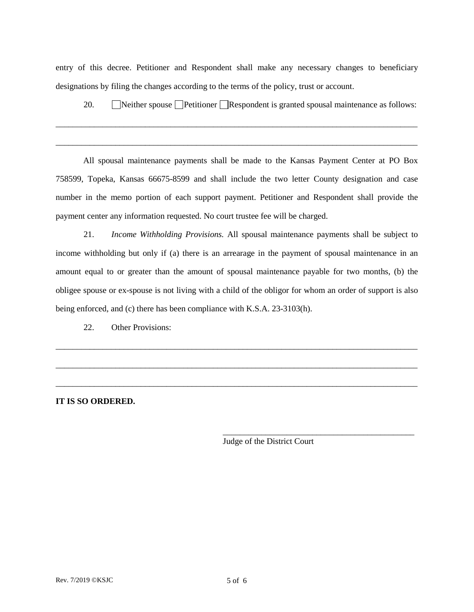entry of this decree. Petitioner and Respondent shall make any necessary changes to beneficiary designations by filing the changes according to the terms of the policy, trust or account.

\_\_\_\_\_\_\_\_\_\_\_\_\_\_\_\_\_\_\_\_\_\_\_\_\_\_\_\_\_\_\_\_\_\_\_\_\_\_\_\_\_\_\_\_\_\_\_\_\_\_\_\_\_\_\_\_\_\_\_\_\_\_\_\_\_\_\_\_\_\_\_\_\_\_\_\_\_\_\_\_\_\_\_\_\_

\_\_\_\_\_\_\_\_\_\_\_\_\_\_\_\_\_\_\_\_\_\_\_\_\_\_\_\_\_\_\_\_\_\_\_\_\_\_\_\_\_\_\_\_\_\_\_\_\_\_\_\_\_\_\_\_\_\_\_\_\_\_\_\_\_\_\_\_\_\_\_\_\_\_\_\_\_\_\_\_\_\_\_\_\_

20. Neither spouse Petitioner Respondent is granted spousal maintenance as follows:

All spousal maintenance payments shall be made to the Kansas Payment Center at PO Box 758599, Topeka, Kansas 66675-8599 and shall include the two letter County designation and case number in the memo portion of each support payment. Petitioner and Respondent shall provide the payment center any information requested. No court trustee fee will be charged.

21. *Income Withholding Provisions.* All spousal maintenance payments shall be subject to income withholding but only if (a) there is an arrearage in the payment of spousal maintenance in an amount equal to or greater than the amount of spousal maintenance payable for two months, (b) the obligee spouse or ex-spouse is not living with a child of the obligor for whom an order of support is also being enforced, and (c) there has been compliance with K.S.A. 23-3103(h).

\_\_\_\_\_\_\_\_\_\_\_\_\_\_\_\_\_\_\_\_\_\_\_\_\_\_\_\_\_\_\_\_\_\_\_\_\_\_\_\_\_\_\_\_\_\_\_\_\_\_\_\_\_\_\_\_\_\_\_\_\_\_\_\_\_\_\_\_\_\_\_\_\_\_\_\_\_\_\_\_\_\_\_\_\_

\_\_\_\_\_\_\_\_\_\_\_\_\_\_\_\_\_\_\_\_\_\_\_\_\_\_\_\_\_\_\_\_\_\_\_\_\_\_\_\_\_\_\_\_\_\_\_\_\_\_\_\_\_\_\_\_\_\_\_\_\_\_\_\_\_\_\_\_\_\_\_\_\_\_\_\_\_\_\_\_\_\_\_\_\_

\_\_\_\_\_\_\_\_\_\_\_\_\_\_\_\_\_\_\_\_\_\_\_\_\_\_\_\_\_\_\_\_\_\_\_\_\_\_\_\_\_\_\_\_\_\_\_\_\_\_\_\_\_\_\_\_\_\_\_\_\_\_\_\_\_\_\_\_\_\_\_\_\_\_\_\_\_\_\_\_\_\_\_\_\_

22. Other Provisions:

**IT IS SO ORDERED.**

Judge of the District Court

\_\_\_\_\_\_\_\_\_\_\_\_\_\_\_\_\_\_\_\_\_\_\_\_\_\_\_\_\_\_\_\_\_\_\_\_\_\_\_\_\_\_\_\_\_